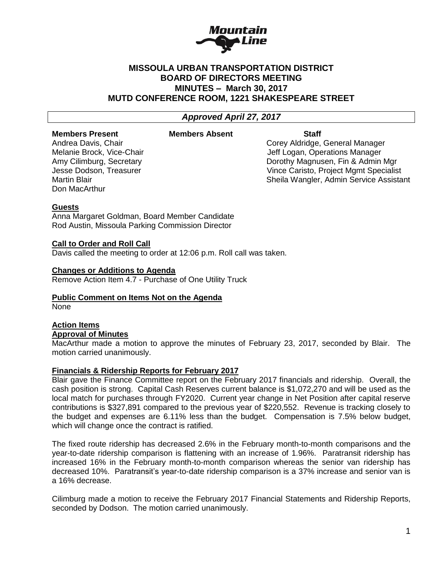

# **MISSOULA URBAN TRANSPORTATION DISTRICT BOARD OF DIRECTORS MEETING MINUTES – March 30, 2017 MUTD CONFERENCE ROOM, 1221 SHAKESPEARE STREET**

# *Approved April 27, 2017*

# **Members Present Members Absent Staff**

Don MacArthur

Andrea Davis, Chair Corey Aldridge, General Manager Melanie Brock, Vice-Chair **Jeff Logan, Operations Manager** Jeff Logan, Operations Manager Amy Cilimburg, Secretary **Dorothy Magnusen, Fin & Admin Mgr Dorothy Magnusen, Fin & Admin Mgr** Jesse Dodson, Treasurer Vince Caristo, Project Mgmt Specialist Martin Blair **Martin Blair** Sheila Wangler, Admin Service Assistant

# **Guests**

Anna Margaret Goldman, Board Member Candidate Rod Austin, Missoula Parking Commission Director

# **Call to Order and Roll Call**

Davis called the meeting to order at 12:06 p.m. Roll call was taken.

### **Changes or Additions to Agenda**

Remove Action Item 4.7 - Purchase of One Utility Truck

# **Public Comment on Items Not on the Agenda**

None

# **Action Items**

# **Approval of Minutes**

MacArthur made a motion to approve the minutes of February 23, 2017, seconded by Blair. The motion carried unanimously.

### **Financials & Ridership Reports for February 2017**

Blair gave the Finance Committee report on the February 2017 financials and ridership. Overall, the cash position is strong. Capital Cash Reserves current balance is \$1,072,270 and will be used as the local match for purchases through FY2020. Current year change in Net Position after capital reserve contributions is \$327,891 compared to the previous year of \$220,552. Revenue is tracking closely to the budget and expenses are 6.11% less than the budget. Compensation is 7.5% below budget, which will change once the contract is ratified.

The fixed route ridership has decreased 2.6% in the February month-to-month comparisons and the year-to-date ridership comparison is flattening with an increase of 1.96%. Paratransit ridership has increased 16% in the February month-to-month comparison whereas the senior van ridership has decreased 10%. Paratransit's year-to-date ridership comparison is a 37% increase and senior van is a 16% decrease.

Cilimburg made a motion to receive the February 2017 Financial Statements and Ridership Reports, seconded by Dodson. The motion carried unanimously.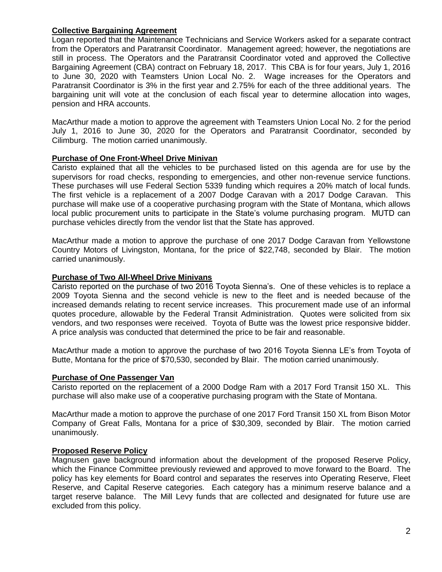# **Collective Bargaining Agreement**

Logan reported that the Maintenance Technicians and Service Workers asked for a separate contract from the Operators and Paratransit Coordinator. Management agreed; however, the negotiations are still in process. The Operators and the Paratransit Coordinator voted and approved the Collective Bargaining Agreement (CBA) contract on February 18, 2017. This CBA is for four years, July 1, 2016 to June 30, 2020 with Teamsters Union Local No. 2. Wage increases for the Operators and Paratransit Coordinator is 3% in the first year and 2.75% for each of the three additional years. The bargaining unit will vote at the conclusion of each fiscal year to determine allocation into wages, pension and HRA accounts.

MacArthur made a motion to approve the agreement with Teamsters Union Local No. 2 for the period July 1, 2016 to June 30, 2020 for the Operators and Paratransit Coordinator, seconded by Cilimburg. The motion carried unanimously.

# **Purchase of One Front-Wheel Drive Minivan**

Caristo explained that all the vehicles to be purchased listed on this agenda are for use by the supervisors for road checks, responding to emergencies, and other non-revenue service functions. These purchases will use Federal Section 5339 funding which requires a 20% match of local funds. The first vehicle is a replacement of a 2007 Dodge Caravan with a 2017 Dodge Caravan. This purchase will make use of a cooperative purchasing program with the State of Montana, which allows local public procurement units to participate in the State's volume purchasing program. MUTD can purchase vehicles directly from the vendor list that the State has approved.

MacArthur made a motion to approve the purchase of one 2017 Dodge Caravan from Yellowstone Country Motors of Livingston, Montana, for the price of \$22,748, seconded by Blair. The motion carried unanimously.

### **Purchase of Two All-Wheel Drive Minivans**

Caristo reported on the purchase of two 2016 Toyota Sienna's. One of these vehicles is to replace a 2009 Toyota Sienna and the second vehicle is new to the fleet and is needed because of the increased demands relating to recent service increases. This procurement made use of an informal quotes procedure, allowable by the Federal Transit Administration. Quotes were solicited from six vendors, and two responses were received. Toyota of Butte was the lowest price responsive bidder. A price analysis was conducted that determined the price to be fair and reasonable.

MacArthur made a motion to approve the purchase of two 2016 Toyota Sienna LE's from Toyota of Butte, Montana for the price of \$70,530, seconded by Blair. The motion carried unanimously.

### **Purchase of One Passenger Van**

Caristo reported on the replacement of a 2000 Dodge Ram with a 2017 Ford Transit 150 XL. This purchase will also make use of a cooperative purchasing program with the State of Montana.

MacArthur made a motion to approve the purchase of one 2017 Ford Transit 150 XL from Bison Motor Company of Great Falls, Montana for a price of \$30,309, seconded by Blair. The motion carried unanimously.

### **Proposed Reserve Policy**

Magnusen gave background information about the development of the proposed Reserve Policy, which the Finance Committee previously reviewed and approved to move forward to the Board. The policy has key elements for Board control and separates the reserves into Operating Reserve, Fleet Reserve, and Capital Reserve categories. Each category has a minimum reserve balance and a target reserve balance. The Mill Levy funds that are collected and designated for future use are excluded from this policy.